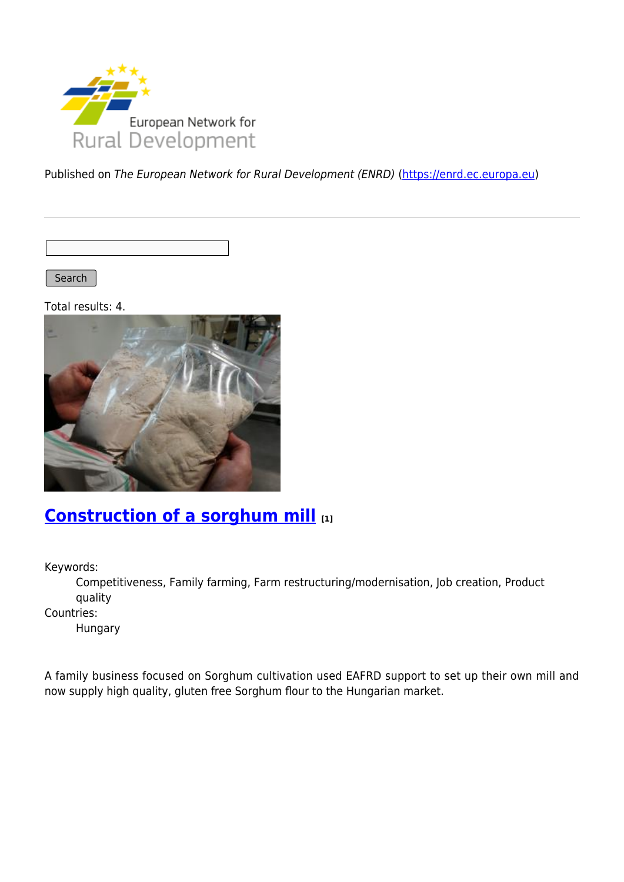

Published on The European Network for Rural Development (ENRD) [\(https://enrd.ec.europa.eu](https://enrd.ec.europa.eu))

Search |

Total results: 4.



### **[Construction of a sorghum mill](https://enrd.ec.europa.eu/projects-practice/construction-sorghum-mill_en) [1]**

Keywords:

Competitiveness, Family farming, Farm restructuring/modernisation, Job creation, Product quality

Countries:

Hungary

A family business focused on Sorghum cultivation used EAFRD support to set up their own mill and now supply high quality, gluten free Sorghum flour to the Hungarian market.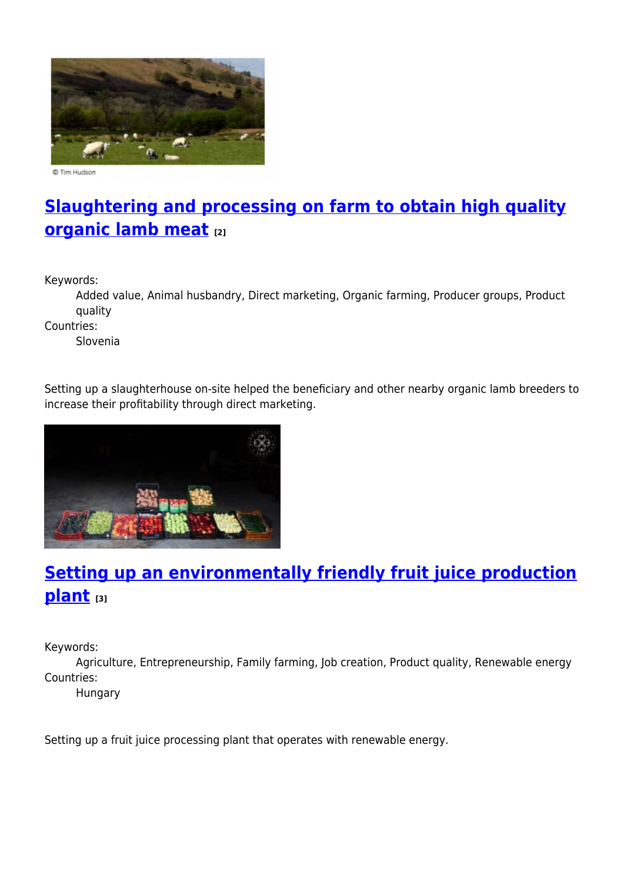

© Tim Hudson

# **[Slaughtering and processing on farm to obtain high quality](https://enrd.ec.europa.eu/projects-practice/slaughtering-and-processing-farm-obtain-high-quality-organic-lamb-meat_en) [organic lamb meat](https://enrd.ec.europa.eu/projects-practice/slaughtering-and-processing-farm-obtain-high-quality-organic-lamb-meat_en) [2]**

Keywords:

Added value, Animal husbandry, Direct marketing, Organic farming, Producer groups, Product quality

Countries:

Slovenia

Setting up a slaughterhouse on-site helped the beneficiary and other nearby organic lamb breeders to increase their profitability through direct marketing.



# **[Setting up an environmentally friendly fruit juice production](https://enrd.ec.europa.eu/projects-practice/setting-environmentally-friendly-fruit-juice-production-plant_en) [plant](https://enrd.ec.europa.eu/projects-practice/setting-environmentally-friendly-fruit-juice-production-plant_en) [3]**

Keywords:

Agriculture, Entrepreneurship, Family farming, Job creation, Product quality, Renewable energy Countries:

Hungary

Setting up a fruit juice processing plant that operates with renewable energy.